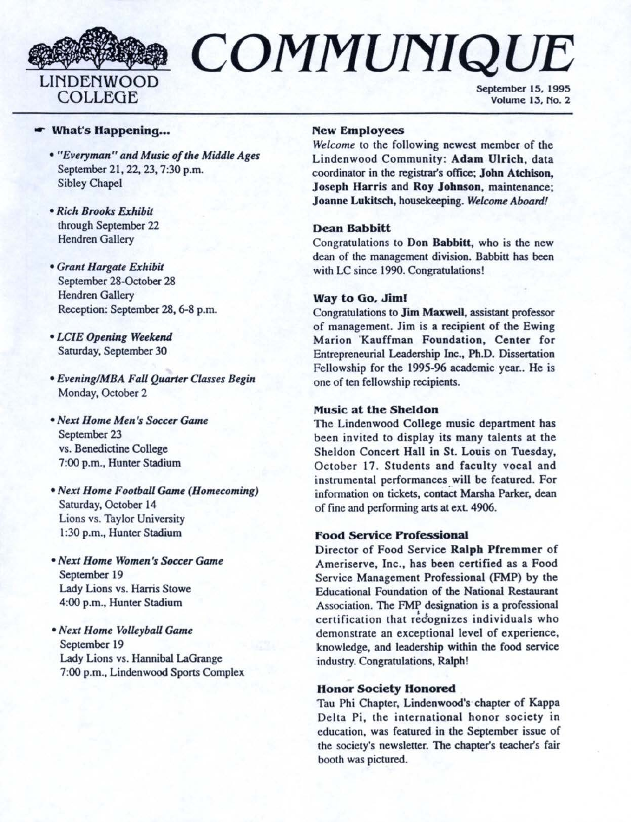

# COMMUNIQUE

September 15, 1995 Volume 13, No. 2

#### **F** What's Happening...

- *"Everyman" and Musi.c of the Middle Ages*  September 21, 22, 23, 7:30 p.m. Sibley Chapel
- *Rich Brooks Exhibit*  through September 22 Hendren Gallery
- *Grant Hargale Exhibit*  September 28-0ctober 28 Hendren Gallery Reception: September 28, 6-8 p.m.
- *LCIE Opening Weekend*  Saturday, September 30
- *Evening/MBA Fall Quarter Classes Begin*  Monday, October 2
- *Next Home Men 's Soccer Game*  September 23 vs. Benedictine College 7:00 p.m., Hunter Stadium
- *Next Home Football Game (Homecoming)*  Saturday, October 14 Lions vs. Taylor University 1 :30 p.m., Hunter Stadium
- *Next Home Women's Soccer Game*  September 19 Lady Lions vs. Harris Stowe 4:00 p.m., Hunter Stadium
- *Next Home Volleyball Game*  September 19 Lady Lions vs. Hannibal LaGrange 7:00 p.m., Lindenwood Sports Complex

#### **New Employees**

*Welcome* to the following newest member of the Lindenwood Community: **Adam** Ulrich, data coordinator in the registrar's office; John Atchison, Joseph Harris and Roy Johnson, maintenance; Joanne Lukitsch, housekeeping. *Welcome Aboard!* 

#### **Dean Babbitt**

Congratulations to **Don Babbitt,** who is the new dean of the management division. Babbitt has been with LC since 1990. Congratulations!

#### **Way to Go. Jiml**

Congratulations to **Jim Maxwell,** assistant professor of management. Jim is a recipient of the Ewing Marion 'Kauffman Foundation, Center for Entrepreneurial Leadership Inc., Ph.D. Dissertation Fellowship for the 1995-96 academic year.. **He** is one of ten fellowship recipients.

#### **Music at the Sheldon**

The Lindenwood College music department has been invited to display its many talents at the Sheldon Concert Hall in St. Louis on Tuesday, October 17. Students and faculty vocal and instrumental performances will be featured. For information on tickets, contact Marsha Parker, dean of fine and performing arts at exL 4906.

#### **f'ood Service Professional**

Director of Food Service **Ralph Pfremmer** of Ameriserve, Inc., has been certified as a Food Service Management Professional (FMP) by the Educational Foundation of the National Restaurant Association. The FMP designation is a professional certification that recognizes individuals who demonstrate an exceptional level of experience, knowledge, and leadership within the food service industry. Congratulations, Ralph!

#### **Honor Society Honored**

Tau Phi Chapter, Lindenwood's chapter of Kappa Delta Pi, the international honor society in education, was featured in the September issue of the society's newsletter. The chapter's teacher's fair booth was pictured.